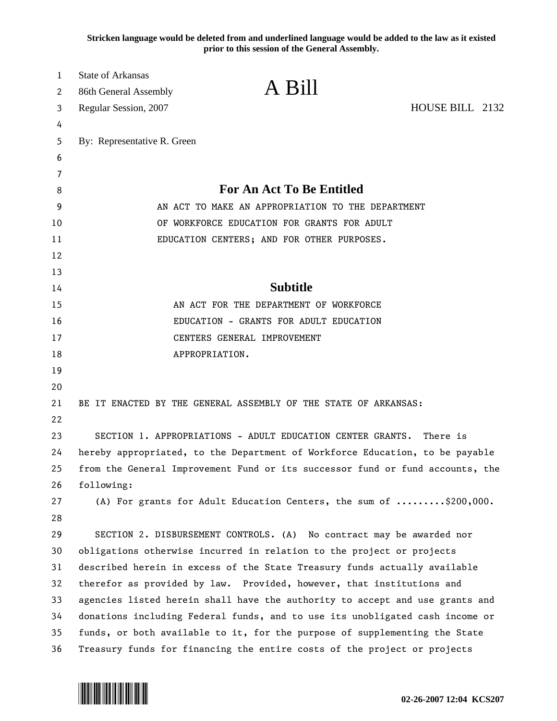**Stricken language would be deleted from and underlined language would be added to the law as it existed prior to this session of the General Assembly.**

| 1<br>2   | <b>State of Arkansas</b><br>86th General Assembly                            | A Bill                                                                        |                 |
|----------|------------------------------------------------------------------------------|-------------------------------------------------------------------------------|-----------------|
| 3        | Regular Session, 2007                                                        |                                                                               | HOUSE BILL 2132 |
| 4        |                                                                              |                                                                               |                 |
| 5        | By: Representative R. Green                                                  |                                                                               |                 |
| 6        |                                                                              |                                                                               |                 |
| 7        |                                                                              |                                                                               |                 |
| 8        | <b>For An Act To Be Entitled</b>                                             |                                                                               |                 |
| 9        | AN ACT TO MAKE AN APPROPRIATION TO THE DEPARTMENT                            |                                                                               |                 |
| 10       | OF WORKFORCE EDUCATION FOR GRANTS FOR ADULT                                  |                                                                               |                 |
| 11       | EDUCATION CENTERS; AND FOR OTHER PURPOSES.                                   |                                                                               |                 |
| 12       |                                                                              |                                                                               |                 |
| 13       |                                                                              |                                                                               |                 |
| 14       |                                                                              | <b>Subtitle</b>                                                               |                 |
| 15       | AN ACT FOR THE DEPARTMENT OF WORKFORCE                                       |                                                                               |                 |
| 16       | EDUCATION - GRANTS FOR ADULT EDUCATION                                       |                                                                               |                 |
| 17       | CENTERS GENERAL IMPROVEMENT                                                  |                                                                               |                 |
| 18       |                                                                              | APPROPRIATION.                                                                |                 |
| 19       |                                                                              |                                                                               |                 |
| 20       |                                                                              |                                                                               |                 |
| 21<br>22 |                                                                              | BE IT ENACTED BY THE GENERAL ASSEMBLY OF THE STATE OF ARKANSAS:               |                 |
| 23       |                                                                              | SECTION 1. APPROPRIATIONS - ADULT EDUCATION CENTER GRANTS. There is           |                 |
| 24       | hereby appropriated, to the Department of Workforce Education, to be payable |                                                                               |                 |
| 25       |                                                                              | from the General Improvement Fund or its successor fund or fund accounts, the |                 |
| 26       | following:                                                                   |                                                                               |                 |
| 27       |                                                                              | (A) For grants for Adult Education Centers, the sum of \$200,000.             |                 |
| 28       |                                                                              |                                                                               |                 |
| 29       |                                                                              | SECTION 2. DISBURSEMENT CONTROLS. (A) No contract may be awarded nor          |                 |
| 30       | obligations otherwise incurred in relation to the project or projects        |                                                                               |                 |
| 31       | described herein in excess of the State Treasury funds actually available    |                                                                               |                 |
| 32       | therefor as provided by law. Provided, however, that institutions and        |                                                                               |                 |
| 33       | agencies listed herein shall have the authority to accept and use grants and |                                                                               |                 |
| 34       | donations including Federal funds, and to use its unobligated cash income or |                                                                               |                 |
| 35       | funds, or both available to it, for the purpose of supplementing the State   |                                                                               |                 |
| 36       | Treasury funds for financing the entire costs of the project or projects     |                                                                               |                 |